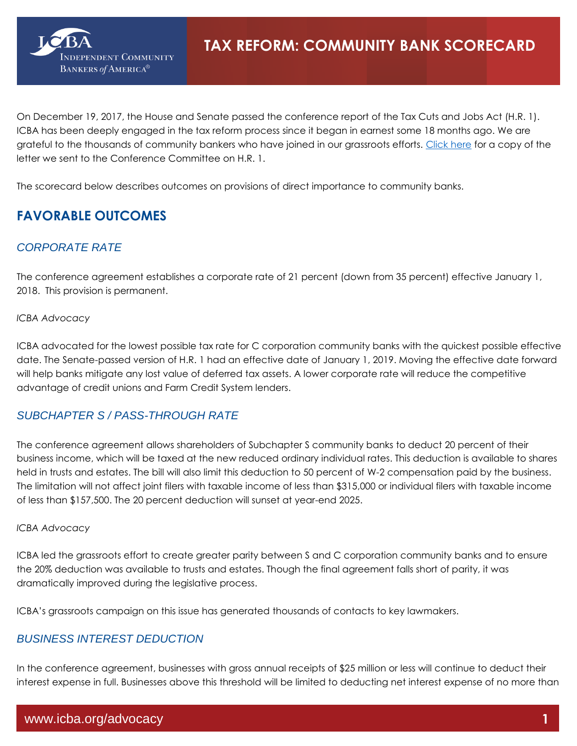

On December 19, 2017, the House and Senate passed the conference report of the Tax Cuts and Jobs Act (H.R. 1). ICBA has been deeply engaged in the tax reform process since it began in earnest some 18 months ago. We are grateful to the thousands of community bankers who have joined in our grassroots efforts. [Click here](http://www.icba.org/docs/default-source/icba/advocacy-documents/letters-to-congress/2017/taxconfereeltr17-12-07.pdf?sfvrsn=0) for a copy of the letter we sent to the Conference Committee on H.R. 1.

The scorecard below describes outcomes on provisions of direct importance to community banks.

# **FAVORABLE OUTCOMES**

# *CORPORATE RATE*

The conference agreement establishes a corporate rate of 21 percent (down from 35 percent) effective January 1, 2018. This provision is permanent.

#### *ICBA Advocacy*

ICBA advocated for the lowest possible tax rate for C corporation community banks with the quickest possible effective date. The Senate-passed version of H.R. 1 had an effective date of January 1, 2019. Moving the effective date forward will help banks mitigate any lost value of deferred tax assets. A lower corporate rate will reduce the competitive advantage of credit unions and Farm Credit System lenders.

# *SUBCHAPTER S / PASS-THROUGH RATE*

The conference agreement allows shareholders of Subchapter S community banks to deduct 20 percent of their business income, which will be taxed at the new reduced ordinary individual rates. This deduction is available to shares held in trusts and estates. The bill will also limit this deduction to 50 percent of W-2 compensation paid by the business. The limitation will not affect joint filers with taxable income of less than \$315,000 or individual filers with taxable income of less than \$157,500. The 20 percent deduction will sunset at year-end 2025.

#### *ICBA Advocacy*

ICBA led the grassroots effort to create greater parity between S and C corporation community banks and to ensure the 20% deduction was available to trusts and estates. Though the final agreement falls short of parity, it was dramatically improved during the legislative process.

ICBA's grassroots campaign on this issue has generated thousands of contacts to key lawmakers.

## *BUSINESS INTEREST DEDUCTION*

In the conference agreement, businesses with gross annual receipts of \$25 million or less will continue to deduct their interest expense in full. Businesses above this threshold will be limited to deducting net interest expense of no more than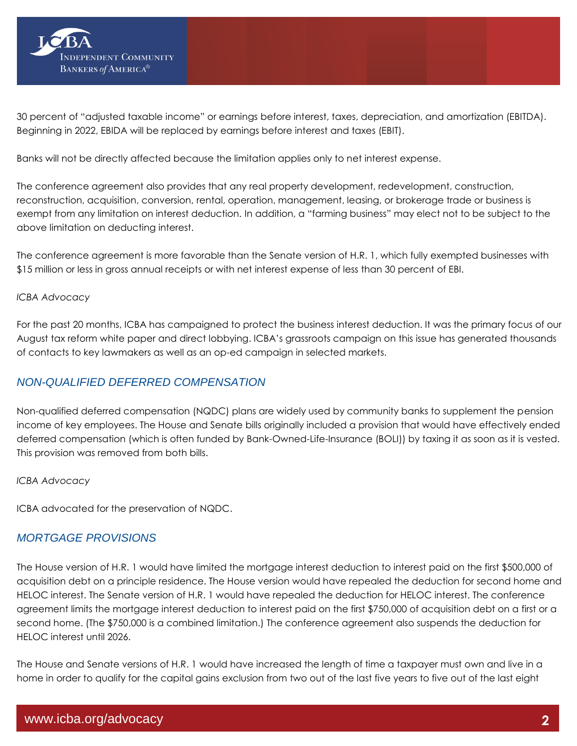

30 percent of "adjusted taxable income" or earnings before interest, taxes, depreciation, and amortization (EBITDA). Beginning in 2022, EBIDA will be replaced by earnings before interest and taxes (EBIT).

Banks will not be directly affected because the limitation applies only to net interest expense.

The conference agreement also provides that any real property development, redevelopment, construction, reconstruction, acquisition, conversion, rental, operation, management, leasing, or brokerage trade or business is exempt from any limitation on interest deduction. In addition, a "farming business" may elect not to be subject to the above limitation on deducting interest.

The conference agreement is more favorable than the Senate version of H.R. 1, which fully exempted businesses with \$15 million or less in gross annual receipts or with net interest expense of less than 30 percent of EBI.

#### *ICBA Advocacy*

For the past 20 months, ICBA has campaigned to protect the business interest deduction. It was the primary focus of our August [tax reform white paper](http://www.icba.org/icba-forms/advocacy---request-icba-principles-for-tax-reform) and direct lobbying. ICBA's grassroots campaign on this issue has generated thousands of contacts to key lawmakers as well as an op-ed campaign in selected markets.

# *NON-QUALIFIED DEFERRED COMPENSATION*

Non-qualified deferred compensation (NQDC) plans are widely used by community banks to supplement the pension income of key employees. The House and Senate bills originally included a provision that would have effectively ended deferred compensation (which is often funded by Bank-Owned-Life-Insurance (BOLI)) by taxing it as soon as it is vested. This provision was removed from both bills.

#### *ICBA Advocacy*

ICBA advocated for the preservation of NQDC.

## *MORTGAGE PROVISIONS*

The House version of H.R. 1 would have limited the mortgage interest deduction to interest paid on the first \$500,000 of acquisition debt on a principle residence. The House version would have repealed the deduction for second home and HELOC interest. The Senate version of H.R. 1 would have repealed the deduction for HELOC interest. The conference agreement limits the mortgage interest deduction to interest paid on the first \$750,000 of acquisition debt on a first or a second home. (The \$750,000 is a combined limitation.) The conference agreement also suspends the deduction for HELOC interest until 2026.

The House and Senate versions of H.R. 1 would have increased the length of time a taxpayer must own and live in a home in order to qualify for the capital gains exclusion from two out of the last five years to five out of the last eight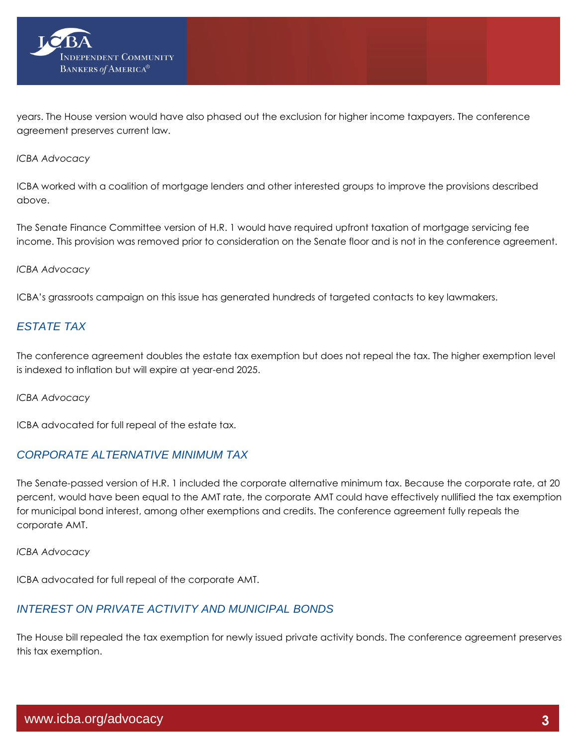

years. The House version would have also phased out the exclusion for higher income taxpayers. The conference agreement preserves current law.

#### *ICBA Advocacy*

ICBA worked with a coalition of mortgage lenders and other interested groups to improve the provisions described above.

The Senate Finance Committee version of H.R. 1 would have required upfront taxation of mortgage servicing fee income. This provision was removed prior to consideration on the Senate floor and is not in the conference agreement.

#### *ICBA Advocacy*

ICBA's grassroots campaign on this issue has generated hundreds of targeted contacts to key lawmakers.

## *ESTATE TAX*

The conference agreement doubles the estate tax exemption but does not repeal the tax. The higher exemption level is indexed to inflation but will expire at year-end 2025.

*ICBA Advocacy*

ICBA advocated for full repeal of the estate tax.

## *CORPORATE ALTERNATIVE MINIMUM TAX*

The Senate-passed version of H.R. 1 included the corporate alternative minimum tax. Because the corporate rate, at 20 percent, would have been equal to the AMT rate, the corporate AMT could have effectively nullified the tax exemption for municipal bond interest, among other exemptions and credits. The conference agreement fully repeals the corporate AMT.

*ICBA Advocacy*

ICBA advocated for full repeal of the corporate AMT.

## *INTEREST ON PRIVATE ACTIVITY AND MUNICIPAL BONDS*

The House bill repealed the tax exemption for newly issued private activity bonds. The conference agreement preserves this tax exemption.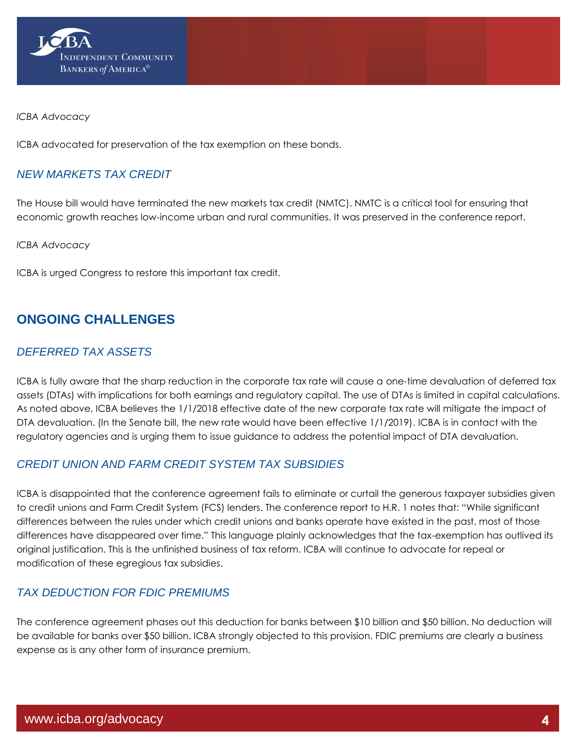

#### *ICBA Advocacy*

ICBA advocated for preservation of the tax exemption on these bonds.

## *NEW MARKETS TAX CREDIT*

The House bill would have terminated the new markets tax credit (NMTC). NMTC is a critical tool for ensuring that economic growth reaches low-income urban and rural communities. It was preserved in the conference report.

*ICBA Advocacy*

ICBA is urged Congress to restore this important tax credit.

# **ONGOING CHALLENGES**

# *DEFERRED TAX ASSETS*

ICBA is fully aware that the sharp reduction in the corporate tax rate will cause a one-time devaluation of deferred tax assets (DTAs) with implications for both earnings and regulatory capital. The use of DTAs is limited in capital calculations. As noted above, ICBA believes the 1/1/2018 effective date of the new corporate tax rate will mitigate the impact of DTA devaluation. (In the Senate bill, the new rate would have been effective 1/1/2019). ICBA is in contact with the regulatory agencies and is urging them to issue guidance to address the potential impact of DTA devaluation.

# *CREDIT UNION AND FARM CREDIT SYSTEM TAX SUBSIDIES*

ICBA is disappointed that the conference agreement fails to eliminate or curtail the generous taxpayer subsidies given to credit unions and Farm Credit System (FCS) lenders. The conference report to H.R. 1 notes that: "While significant differences between the rules under which credit unions and banks operate have existed in the past, most of those differences have disappeared over time." This language plainly acknowledges that the tax-exemption has outlived its original justification. This is the unfinished business of tax reform. ICBA will continue to advocate for repeal or modification of these egregious tax subsidies.

# *TAX DEDUCTION FOR FDIC PREMIUMS*

The conference agreement phases out this deduction for banks between \$10 billion and \$50 billion. No deduction will be available for banks over \$50 billion. ICBA strongly objected to this provision. FDIC premiums are clearly a business expense as is any other form of insurance premium.